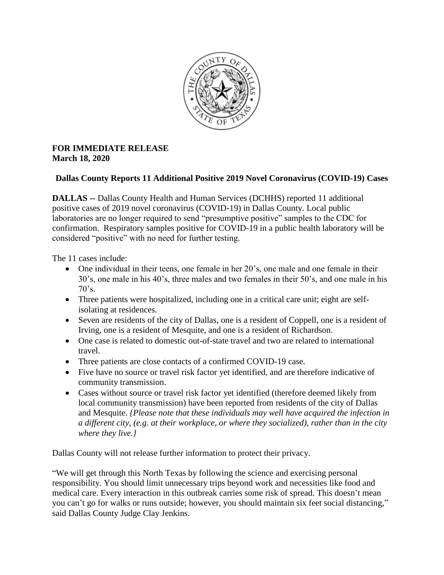

## **FOR IMMEDIATE RELEASE March 18, 2020**

## **Dallas County Reports 11 Additional Positive 2019 Novel Coronavirus (COVID-19) Cases**

**DALLAS --** Dallas County Health and Human Services (DCHHS) reported 11 additional positive cases of 2019 novel coronavirus (COVID-19) in Dallas County. Local public laboratories are no longer required to send "presumptive positive" samples to the CDC for confirmation. Respiratory samples positive for COVID-19 in a public health laboratory will be considered "positive" with no need for further testing.

The 11 cases include:

- One individual in their teens, one female in her 20's, one male and one female in their 30's, one male in his 40's, three males and two females in their 50's, and one male in his  $70's.$
- Three patients were hospitalized, including one in a critical care unit; eight are selfisolating at residences.
- Seven are residents of the city of Dallas, one is a resident of Coppell, one is a resident of Irving, one is a resident of Mesquite, and one is a resident of Richardson.
- One case is related to domestic out-of-state travel and two are related to international travel.
- Three patients are close contacts of a confirmed COVID-19 case.
- Five have no source or travel risk factor yet identified, and are therefore indicative of community transmission.
- Cases without source or travel risk factor yet identified (therefore deemed likely from local community transmission) have been reported from residents of the city of Dallas and Mesquite. *{Please note that these individuals may well have acquired the infection in a different city, (e.g. at their workplace, or where they socialized), rather than in the city where they live.}*

Dallas County will not release further information to protect their privacy.

"We will get through this North Texas by following the science and exercising personal responsibility. You should limit unnecessary trips beyond work and necessities like food and medical care. Every interaction in this outbreak carries some risk of spread. This doesn't mean you can't go for walks or runs outside; however, you should maintain six feet social distancing," said Dallas County Judge Clay Jenkins.